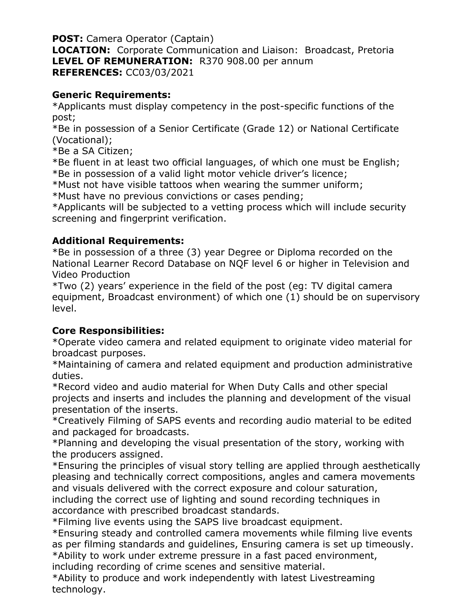**POST:** Camera Operator (Captain) **LOCATION:** Corporate Communication and Liaison: Broadcast, Pretoria **LEVEL OF REMUNERATION:** R370 908.00 per annum **REFERENCES:** CC03/03/2021

## **Generic Requirements:**

\*Applicants must display competency in the post-specific functions of the post;

\*Be in possession of a Senior Certificate (Grade 12) or National Certificate (Vocational);

\*Be a SA Citizen;

\*Be fluent in at least two official languages, of which one must be English; \*Be in possession of a valid light motor vehicle driver's licence;

\*Must not have visible tattoos when wearing the summer uniform;

\*Must have no previous convictions or cases pending;

\*Applicants will be subjected to a vetting process which will include security screening and fingerprint verification.

## **Additional Requirements:**

\*Be in possession of a three (3) year Degree or Diploma recorded on the National Learner Record Database on NQF level 6 or higher in Television and Video Production

\*Two (2) years' experience in the field of the post (eg: TV digital camera equipment, Broadcast environment) of which one (1) should be on supervisory level.

## **Core Responsibilities:**

\*Operate video camera and related equipment to originate video material for broadcast purposes.

\*Maintaining of camera and related equipment and production administrative duties.

\*Record video and audio material for When Duty Calls and other special projects and inserts and includes the planning and development of the visual presentation of the inserts.

\*Creatively Filming of SAPS events and recording audio material to be edited and packaged for broadcasts.

\*Planning and developing the visual presentation of the story, working with the producers assigned.

\*Ensuring the principles of visual story telling are applied through aesthetically pleasing and technically correct compositions, angles and camera movements and visuals delivered with the correct exposure and colour saturation, including the correct use of lighting and sound recording techniques in accordance with prescribed broadcast standards.

\*Filming live events using the SAPS live broadcast equipment.

\*Ensuring steady and controlled camera movements while filming live events as per filming standards and guidelines, Ensuring camera is set up timeously. \*Ability to work under extreme pressure in a fast paced environment,

including recording of crime scenes and sensitive material.

\*Ability to produce and work independently with latest Livestreaming technology.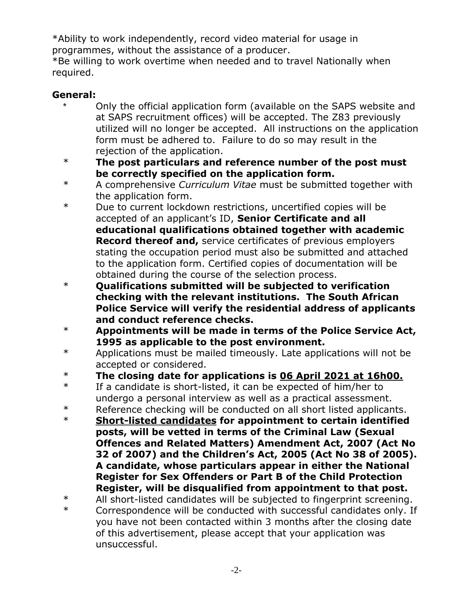\*Ability to work independently, record video material for usage in programmes, without the assistance of a producer.

\*Be willing to work overtime when needed and to travel Nationally when required.

## **General:**

- Only the official application form (available on the SAPS website and at SAPS recruitment offices) will be accepted. The Z83 previously utilized will no longer be accepted. All instructions on the application form must be adhered to. Failure to do so may result in the rejection of the application.
- \* **The post particulars and reference number of the post must be correctly specified on the application form.**
- \* A comprehensive *Curriculum Vitae* must be submitted together with the application form.
- \* Due to current lockdown restrictions, uncertified copies will be accepted of an applicant's ID, **Senior Certificate and all educational qualifications obtained together with academic Record thereof and,** service certificates of previous employers stating the occupation period must also be submitted and attached to the application form. Certified copies of documentation will be obtained during the course of the selection process.
- \* **Qualifications submitted will be subjected to verification checking with the relevant institutions. The South African Police Service will verify the residential address of applicants and conduct reference checks.**
- \* **Appointments will be made in terms of the Police Service Act, 1995 as applicable to the post environment.**
- \* Applications must be mailed timeously. Late applications will not be accepted or considered.
- \* **The closing date for applications is 06 April 2021 at 16h00.**
- \* If a candidate is short-listed, it can be expected of him/her to undergo a personal interview as well as a practical assessment.
- \* Reference checking will be conducted on all short listed applicants.
- \* **Short-listed candidates for appointment to certain identified posts, will be vetted in terms of the Criminal Law (Sexual Offences and Related Matters) Amendment Act, 2007 (Act No 32 of 2007) and the Children's Act, 2005 (Act No 38 of 2005). A candidate, whose particulars appear in either the National Register for Sex Offenders or Part B of the Child Protection Register, will be disqualified from appointment to that post.**

\* Correspondence will be conducted with successful candidates only. If you have not been contacted within 3 months after the closing date of this advertisement, please accept that your application was unsuccessful.

<sup>\*</sup> All short-listed candidates will be subjected to fingerprint screening.